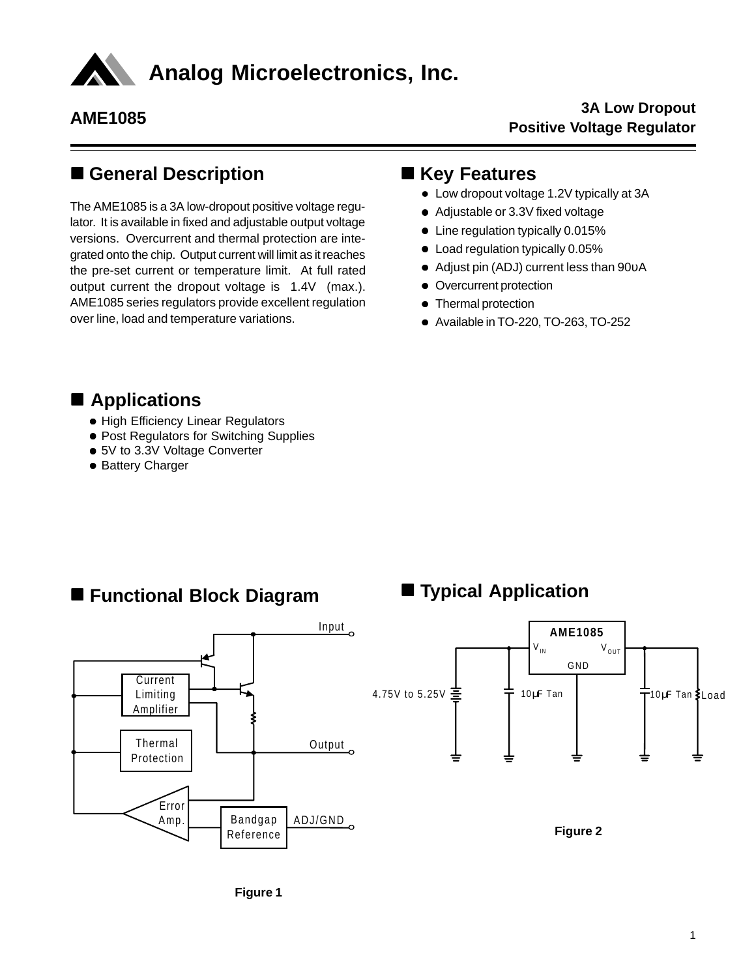

## n **General Description**

The AME1085 is a 3A low-dropout positive voltage regulator. It is available in fixed and adjustable output voltage versions. Overcurrent and thermal protection are integrated onto the chip. Output current will limit as it reaches the pre-set current or temperature limit. At full rated output current the dropout voltage is 1.4V (max.). AME1085 series regulators provide excellent regulation over line, load and temperature variations.

## $R$  **Key Features**

- Low dropout voltage 1.2V typically at 3A
- Adjustable or 3.3V fixed voltage
- $\bullet$  Line regulation typically 0.015%
- Load regulation typically 0.05%
- **.** Adjust pin (ADJ) current less than 90υA
- Overcurrent protection
- Thermal protection
- $\bullet$  Available in TO-220, TO-263, TO-252

### ■ Applications

- **High Efficiency Linear Regulators**
- Post Regulators for Switching Supplies
- 5V to 3.3V Voltage Converter
- Battery Charger

### ■ Functional Block Diagram Thermal Protection Bandgap Reference Current Limiting Amplifier Input Output ADJ/GND Error Amp. ■ **Typical Application Figure 2 AME1085**  $4.75V$  to 5.25V  $\equiv$   $\frac{1}{T}$  10µF Tan  $\parallel$   $\frac{1}{T}$ 10µF Tan  $\frac{1}{2}$ Load  $V_{IN}$ GND  $V_{\text{OUT}}$

**Figure 1**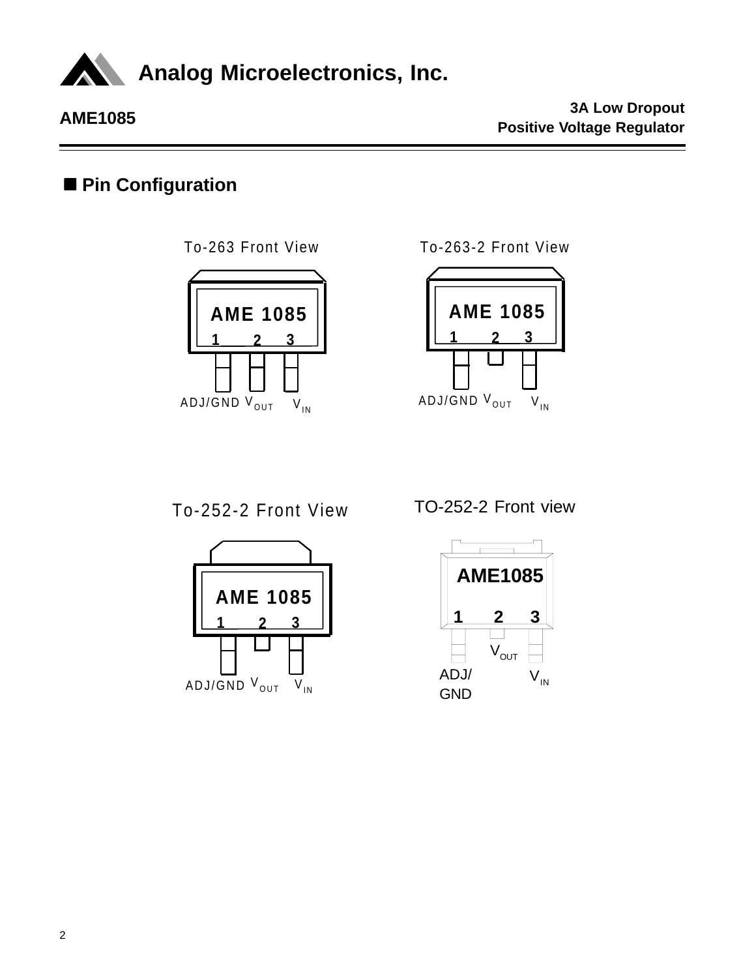

# ■ Pin Configuration





To-263-2 Front View



To-252-2 Front View



TO-252-2 Front view

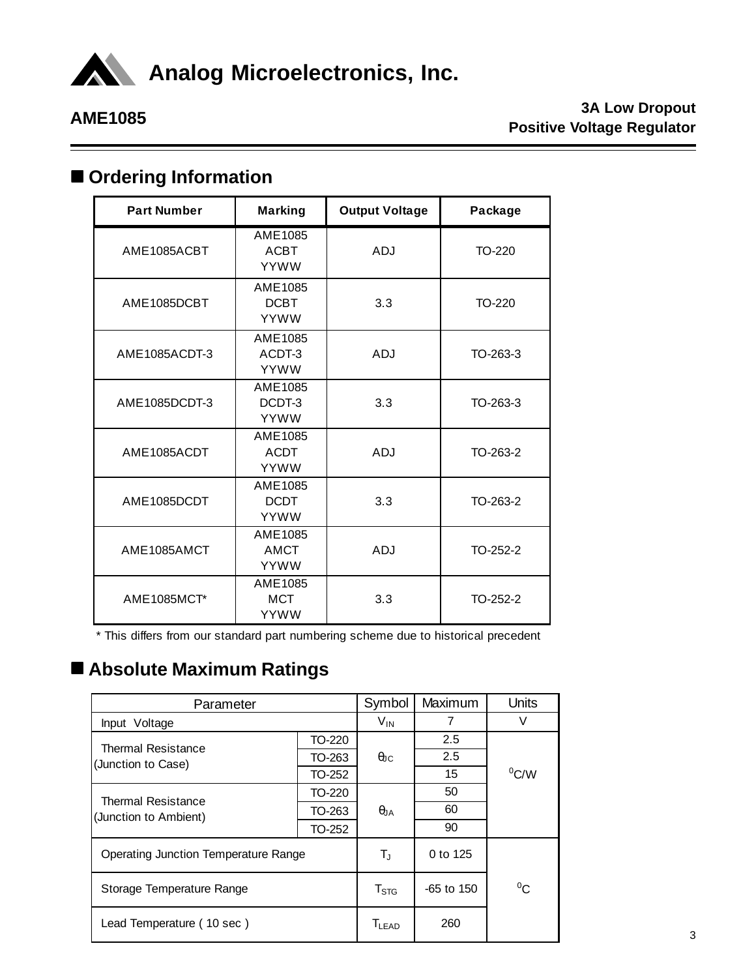

## $\blacksquare$  **Ordering Information**

| <b>Part Number</b> | <b>Marking</b>                        | <b>Output Voltage</b> | Package    |
|--------------------|---------------------------------------|-----------------------|------------|
| AME1085ACBT        | AME1085<br><b>ACBT</b><br><b>YYWW</b> | <b>ADJ</b>            | TO-220     |
| AME1085DCBT        | AME1085<br><b>DCBT</b><br><b>YYWW</b> | 3.3                   | TO-220     |
| AME1085ACDT-3      | AME1085<br>ACDT-3<br><b>YYWW</b>      | <b>ADJ</b>            | TO-263-3   |
| AME1085DCDT-3      | AME1085<br>DCDT-3<br><b>YYWW</b>      | 3.3                   | TO-263-3   |
| AME1085ACDT        | AME1085<br><b>ACDT</b><br><b>YYWW</b> | <b>ADJ</b>            | TO-263-2   |
| AME1085DCDT        | AME1085<br><b>DCDT</b><br><b>YYWW</b> | 3.3                   | TO-263-2   |
| AME1085AMCT        | AME1085<br><b>AMCT</b><br><b>YYWW</b> | ADJ                   | $TO-252-2$ |
| AME1085MCT*        | AME1085<br><b>MCT</b><br><b>YYWW</b>  | 3.3                   | TO-252-2   |

\* This differs from our standard part numbering scheme due to historical precedent

## n **Absolute Maximum Ratings**

| Parameter                            | Symbol           | Maximum         | Units       |          |
|--------------------------------------|------------------|-----------------|-------------|----------|
| Input Voltage                        |                  | $V_{\text{IN}}$ | 7           | V        |
| <b>Thermal Resistance</b>            | TO-220           |                 | 2.5         |          |
| (Junction to Case)                   | TO-263           | $\theta$ JC     | 2.5         |          |
|                                      | TO-252           |                 | 15          | $^0$ C/W |
| <b>Thermal Resistance</b>            | TO-220           |                 | 50          |          |
| (Junction to Ambient)                | TO-263           | $\theta$ JA     | 60          |          |
|                                      | TO-252           |                 | 90          |          |
| Operating Junction Temperature Range |                  | $T_{\rm J}$     | 0 to 125    |          |
| Storage Temperature Range            | $T_{\text{STG}}$ | $-65$ to 150    | $\rm ^{0}C$ |          |
| Lead Temperature (10 sec)            | <b>TLEAD</b>     | 260             |             |          |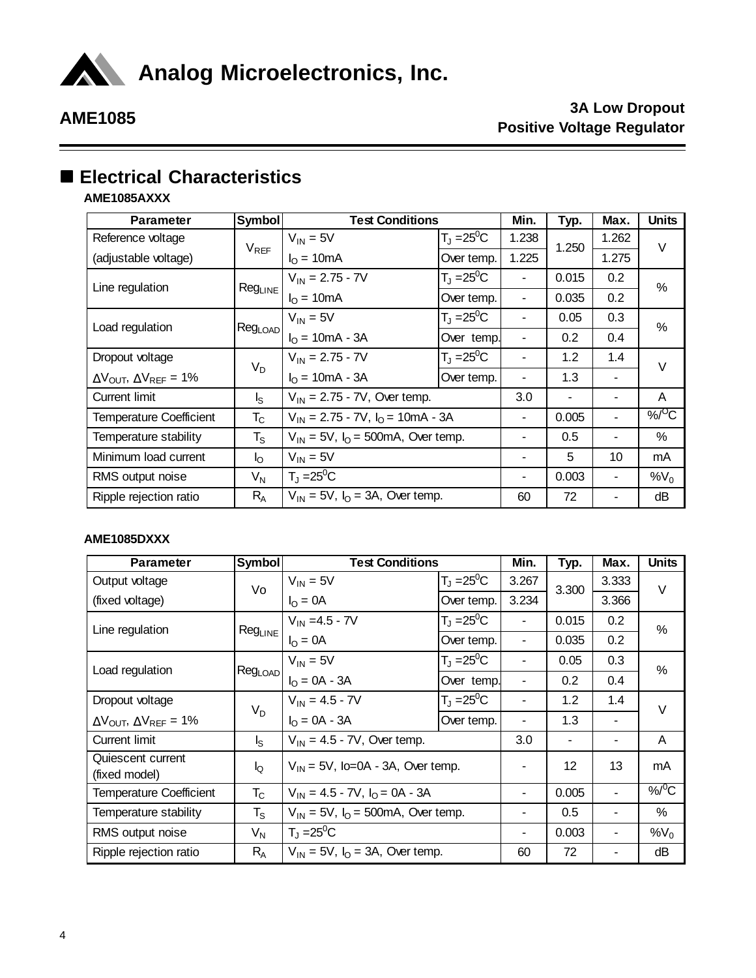

# **AN** Analog Microelectronics, Inc.

# **AME1085 3A Low Dropout Positive Voltage Regulator**

## ■ Electrical Characteristics

### **AME1085AXXX**

| <b>Parameter</b>                                        | <b>Symbol</b>                      | <b>Test Conditions</b>                     |                                   | Min.                     | Typ.           | Max.   | <b>Units</b>       |  |
|---------------------------------------------------------|------------------------------------|--------------------------------------------|-----------------------------------|--------------------------|----------------|--------|--------------------|--|
| Reference voltage                                       | $V_{REF}$                          | $V_{IN} = 5V$                              | $T_{J} = 25^{0}C$                 | 1.238                    | 1.250          | 1.262  | V                  |  |
| (adjustable voltage)                                    |                                    | $I_{\Omega}$ = 10mA                        | Over temp.                        | 1.225                    |                | 1.275  |                    |  |
| Line regulation                                         | $Reg_{LINE}$                       | $V_{IN}$ = 2.75 - 7V                       | $T_{\rm J} = 25^{\rm 0} \text{C}$ | $\overline{\phantom{a}}$ | 0.015          | 0.2    | $\%$               |  |
|                                                         |                                    | $I_{\Omega}$ = 10mA                        | Over temp.                        | $\overline{\phantom{a}}$ | 0.035          | 0.2    |                    |  |
| Load regulation                                         |                                    | $V_{IN} = 5V$                              | $T_{\rm J} = 25^{\rm o}C$         | ٠                        | 0.05           | 0.3    | $\%$               |  |
|                                                         | <sub>I</sub> Reg <sub>LOAD</sub> I | $I_{\Omega} = 10 \text{mA} - 3 \text{A}$   | Over temp.                        |                          | 0.2            | 0.4    |                    |  |
| Dropout voltage                                         | $V_D$                              | $V_{IN}$ = 2.75 - 7V                       | $T_1 = 25^0C$                     | $\overline{\phantom{a}}$ | 1.2            | 1.4    | V                  |  |
| $\Delta V_{\text{OUT}}$ , $\Delta V_{\text{REF}} = 1\%$ |                                    | $I_{\Omega} = 10 \text{mA} - 3 \text{A}$   | Over temp.                        |                          | 1.3            | ۰      |                    |  |
| Current limit                                           | $\mathsf{I}_\mathsf{S}$            | $V_{1N} = 2.75 - 7V$ , Over temp.          |                                   | 3.0                      | ۰              | -      | A                  |  |
| <b>Temperature Coefficient</b>                          | $\mathsf{T}_{\mathsf{C}}$          | $V_{1N} = 2.75 - 7V$ , $I_{O} = 10mA - 3A$ |                                   |                          | 0.005          | ۰      | $%$ <sup>O</sup> C |  |
| Temperature stability                                   | $T_{\scriptstyle\textrm{S}}$       | $V_{1N}$ = 5V, $I_{O}$ = 500mA, Over temp. |                                   |                          | 0.5            | ۰      | $\%$               |  |
| Minimum load current                                    | $\mathsf{I}_{\mathsf{O}}$          | $V_{IN} = 5V$                              |                                   | 5                        | 10             | mA     |                    |  |
| RMS output noise                                        | $V_N$                              | $T_1 = 25^0C$                              | ٠                                 | 0.003                    | $\blacksquare$ | $%V_0$ |                    |  |
| Ripple rejection ratio                                  | $R_{A}$                            | $V_{1N}$ = 5V, $I_{O}$ = 3A, Over temp.    |                                   | 60                       | 72             |        | dB                 |  |

### **AME1085DXXX**

| <b>Parameter</b>                                        | <b>Symbol</b>           | <b>Test Conditions</b>                          |                                   | Min.                     | Typ.  | Max.                     | <b>Units</b>       |
|---------------------------------------------------------|-------------------------|-------------------------------------------------|-----------------------------------|--------------------------|-------|--------------------------|--------------------|
| Output voltage                                          | Vo                      | $V_{IN} = 5V$                                   | $T_J = 25^0C$                     | 3.267                    | 3.300 | 3.333                    | V                  |
| (fixed voltage)                                         |                         | $I_{\Omega} = 0A$                               | Over temp.                        | 3.234                    |       | 3.366                    |                    |
| Line regulation                                         | $Reg_{LINE}$            | $V_{IN} = 4.5 - 7V$                             | $T_{\rm J} = 25^{\rm 0} \text{C}$ |                          | 0.015 | 0.2                      | %                  |
|                                                         |                         | $I_{\Omega} = 0A$                               | Over temp.                        | $\blacksquare$           | 0.035 | 0.2                      |                    |
| Load regulation                                         |                         | $V_{IN} = 5V$                                   | $T_1 = 25^0C$                     | $\overline{\phantom{a}}$ | 0.05  | 0.3                      | %                  |
|                                                         | Reg <sub>LOAD</sub>     | $I_{\Omega} = 0A - 3A$                          | Over temp.                        | $\blacksquare$           | 0.2   | $0.4^{\circ}$            |                    |
| Dropout voltage                                         | $V_D$                   | $V_{IN} = 4.5 - 7V$                             | $T_1 = 25^0C$                     |                          | 1.2   | 1.4                      | V                  |
| $\Delta V_{\text{OUT}}$ , $\Delta V_{\text{REF}} = 1\%$ |                         | $I_{\Omega} = 0A - 3A$                          | Over temp.                        |                          | 1.3   |                          |                    |
| Current limit                                           | $\mathsf{I}_\mathsf{S}$ | $V_{\text{IN}}$ = 4.5 - 7V, Over temp.          |                                   | 3.0                      | ٠     | $\overline{\phantom{a}}$ | A                  |
| Quiescent current<br>(fixed model)                      | $I_{\mathsf{Q}}$        | $V_{IN}$ = 5V, Io=0A - 3A, Over temp.           |                                   | $\overline{\phantom{a}}$ | 12    | 13                       | mA                 |
| <b>Temperature Coefficient</b>                          | $T_{\rm C}$             | $V_{1N} = 4.5 - 7V$ , $I_{O} = 0A - 3A$         |                                   |                          | 0.005 |                          | $%$ <sup>O</sup> C |
| Temperature stability                                   | $T_{\tt S}$             | $V_{1N}$ = 5V, $I_{\Omega}$ = 500mA, Over temp. |                                   | $\overline{\phantom{a}}$ | 0.5   |                          | %                  |
| RMS output noise                                        | $V_N$                   | $T_1 = 25^0C$                                   | ٠                                 | 0.003                    | -     | $%V_0$                   |                    |
| Ripple rejection ratio                                  | $R_{A}$                 | $V_{1N}$ = 5V, $I_{\Omega}$ = 3A, Over temp.    |                                   | 60                       | 72    |                          | dB                 |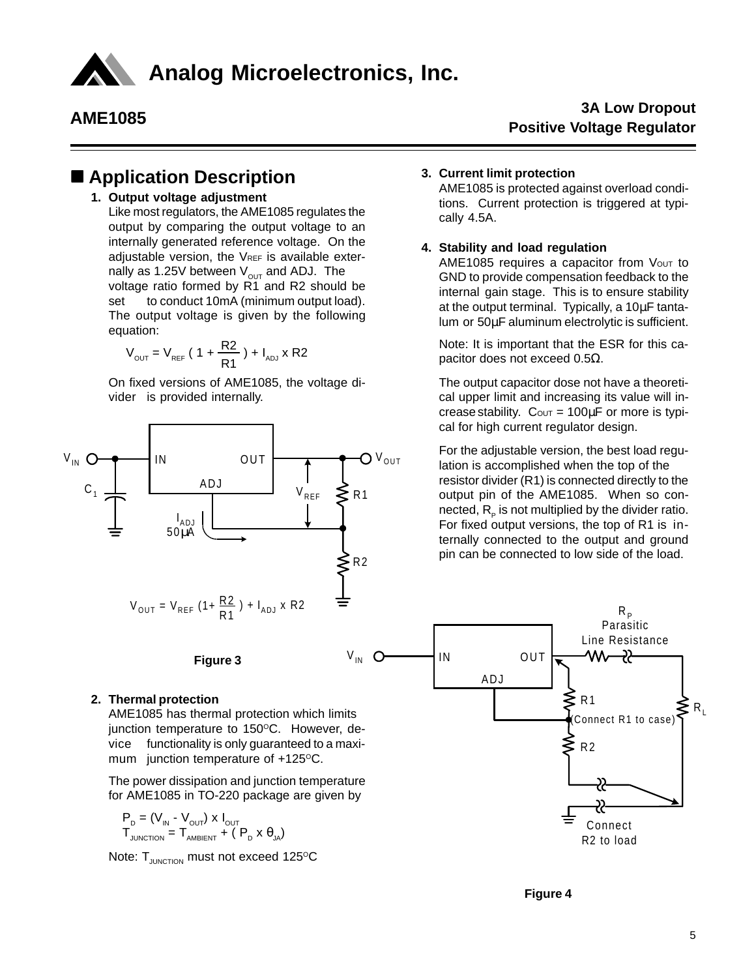

### **E** Application Description

### **1. Output voltage adjustment**

Like most regulators, the AME1085 regulates the output by comparing the output voltage to an internally generated reference voltage. On the adjustable version, the VREF is available externally as 1.25V between  $V_{\text{out}}$  and ADJ. The voltage ratio formed by R1 and R2 should be set to conduct 10mA (minimum output load). The output voltage is given by the following equation:

$$
V_{\text{OUT}} = V_{\text{REF}} (1 + \frac{R2}{R1}) + I_{\text{AD}} x R2
$$

On fixed versions of AME1085, the voltage divider is provided internally.



### **2. Thermal protection**

AME1085 has thermal protection which limits junction temperature to  $150^{\circ}$ C. However, device functionality is only guaranteed to a maximum junction temperature of  $+125^{\circ}$ C.

The power dissipation and junction temperature for AME1085 in TO-220 package are given by

$$
\begin{aligned} \mathsf{P}_{\mathrm{D}} &= \left(\mathsf{V}_{\mathsf{IN}} \cdot \mathsf{V}_{\mathsf{OUT}}\right) \times \mathsf{I}_{\mathsf{OUT}} \\ \mathsf{T}_{\mathsf{JUNCTION}} &= \mathsf{T}_{\mathsf{AMBERT}} + \left(\mathsf{P}_{\mathrm{D}} \times \Theta_{\mathsf{JA}}\right) \end{aligned}
$$

Note:  $T_{\text{UNCTION}}$  must not exceed 125 $\textdegree$ C

### **AME1085 3A Low Dropout Positive Voltage Regulator**

### **3. Current limit protection**

AME1085 is protected against overload conditions. Current protection is triggered at typically 4.5A.

### **4. Stability and load regulation**

AME1085 requires a capacitor from  $V_{\text{OUT}}$  to GND to provide compensation feedback to the internal gain stage. This is to ensure stability at the output terminal. Typically, a 10µF tantalum or 50µF aluminum electrolytic is sufficient.

Note: It is important that the ESR for this capacitor does not exceed 0.5Ω.

The output capacitor dose not have a theoretical upper limit and increasing its value will increase stability.  $C_{\text{OUT}} = 100 \mu F$  or more is typical for high current regulator design.

For the adjustable version, the best load regulation is accomplished when the top of the resistor divider (R1) is connected directly to the output pin of the AME1085. When so connected,  $R_{\rm p}$  is not multiplied by the divider ratio. For fixed output versions, the top of R1 is internally connected to the output and ground pin can be connected to low side of the load.



**Figure 4**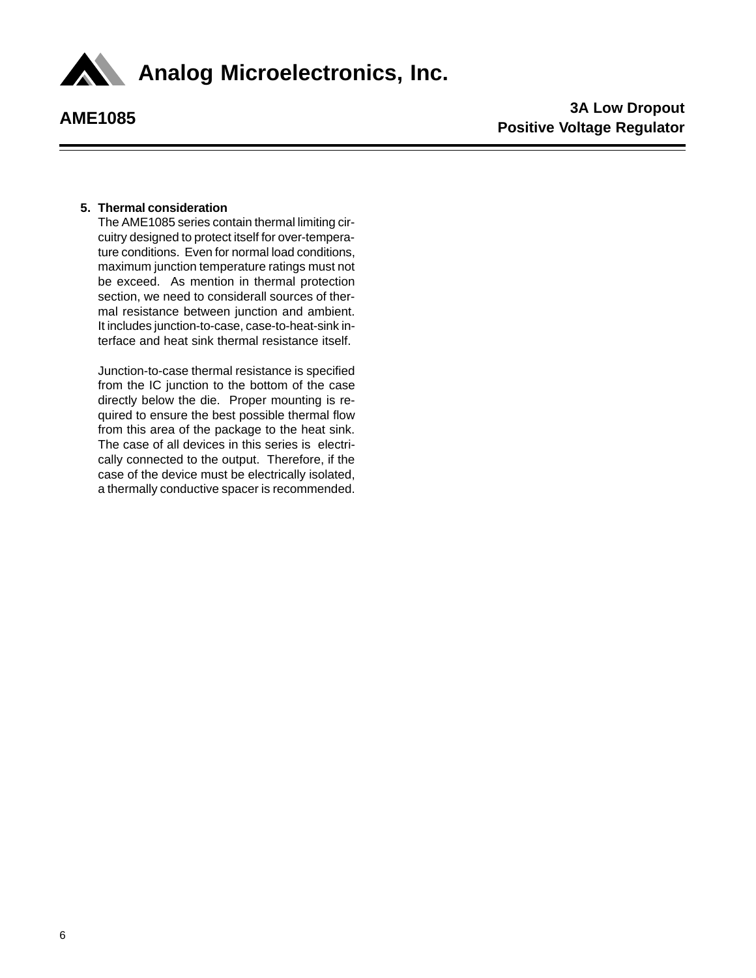

### **5. Thermal consideration**

The AME1085 series contain thermal limiting circuitry designed to protect itself for over-temperature conditions. Even for normal load conditions, maximum junction temperature ratings must not be exceed. As mention in thermal protection section, we need to considerall sources of thermal resistance between junction and ambient. It includes junction-to-case, case-to-heat-sink interface and heat sink thermal resistance itself.

Junction-to-case thermal resistance is specified from the IC junction to the bottom of the case directly below the die. Proper mounting is required to ensure the best possible thermal flow from this area of the package to the heat sink. The case of all devices in this series is electrically connected to the output. Therefore, if the case of the device must be electrically isolated, a thermally conductive spacer is recommended.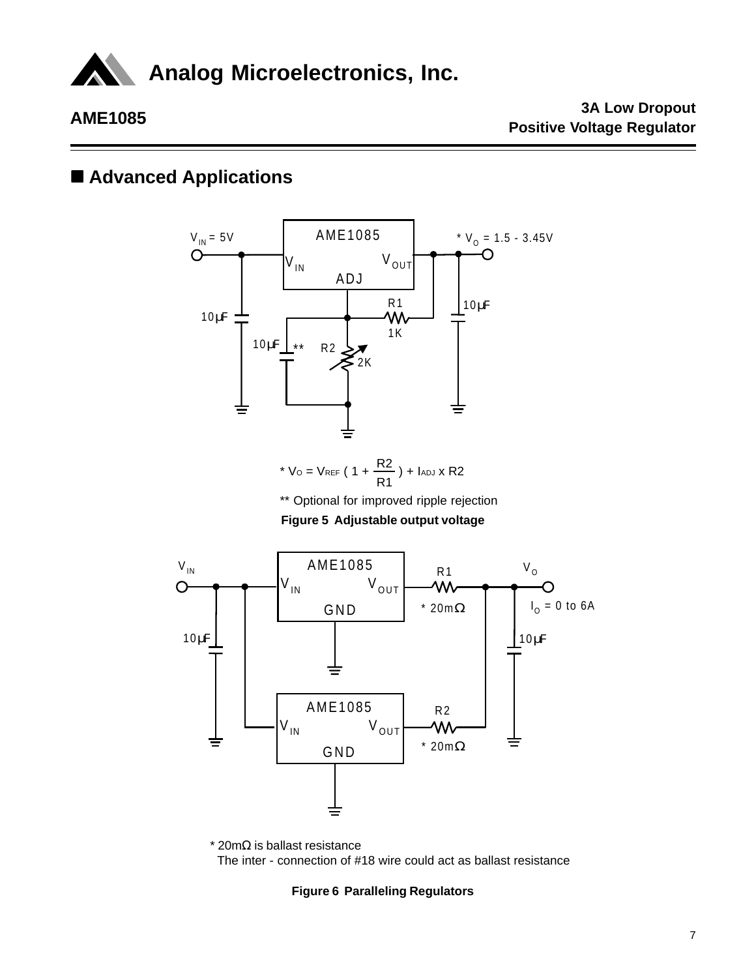

## ■ **Advanced Applications**





\* 20mΩ is ballast resistance The inter - connection of #18 wire could act as ballast resistance

### **Figure 6 Paralleling Regulators**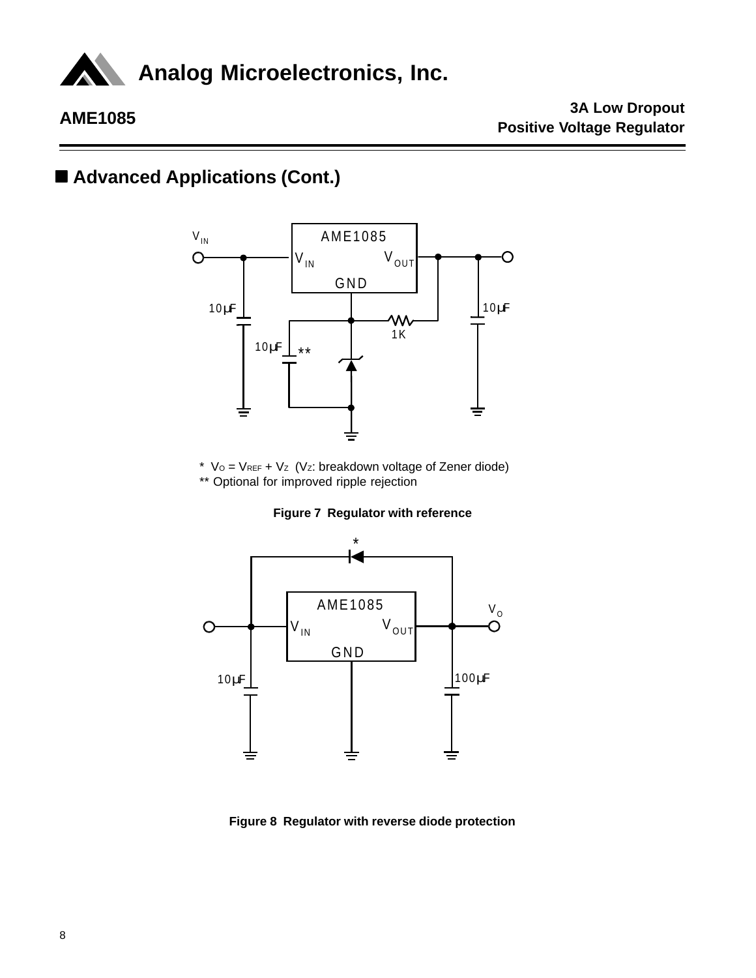

# ■ Advanced Applications (Cont.)



\*  $V_0 = V_{REF} + V_z$  (Vz: breakdown voltage of Zener diode) \*\* Optional for improved ripple rejection

**Figure 7 Regulator with reference**



**Figure 8 Regulator with reverse diode protection**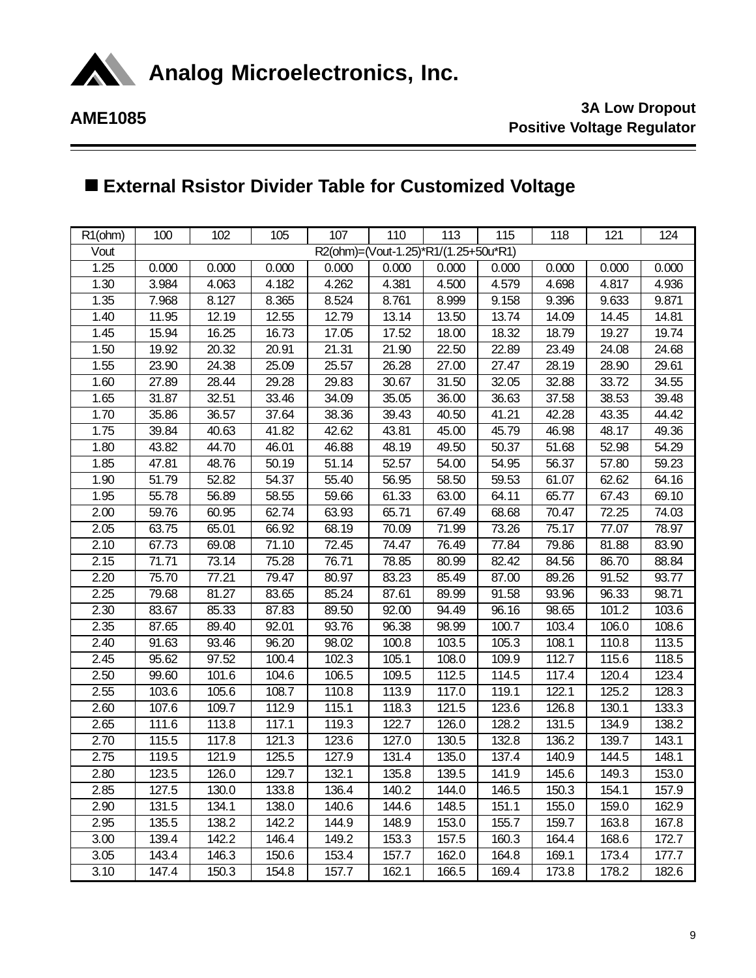

# n **External Rsistor Divider Table for Customized Voltage**

| R <sub>1</sub> (ohm) | 100                                  | 102   | 105                | 107   | 110   | 113                | 115   | 118   | 121   | 124   |
|----------------------|--------------------------------------|-------|--------------------|-------|-------|--------------------|-------|-------|-------|-------|
| Vout                 | R2(ohm)=(Vout-1.25)*R1/(1.25+50u*R1) |       |                    |       |       |                    |       |       |       |       |
| 1.25                 | 0.000                                | 0.000 | 0.000              | 0.000 | 0.000 | 0.000              | 0.000 | 0.000 | 0.000 | 0.000 |
| 1.30                 | 3.984                                | 4.063 | 4.182              | 4.262 | 4.381 | 4.500              | 4.579 | 4.698 | 4.817 | 4.936 |
| 1.35                 | 7.968                                | 8.127 | 8.365              | 8.524 | 8.761 | 8.999              | 9.158 | 9.396 | 9.633 | 9.871 |
| 1.40                 | 11.95                                | 12.19 | 12.55              | 12.79 | 13.14 | 13.50              | 13.74 | 14.09 | 14.45 | 14.81 |
| 1.45                 | 15.94                                | 16.25 | 16.73              | 17.05 | 17.52 | 18.00              | 18.32 | 18.79 | 19.27 | 19.74 |
| 1.50                 | 19.92                                | 20.32 | 20.91              | 21.31 | 21.90 | 22.50              | 22.89 | 23.49 | 24.08 | 24.68 |
| 1.55                 | 23.90                                | 24.38 | 25.09              | 25.57 | 26.28 | 27.00              | 27.47 | 28.19 | 28.90 | 29.61 |
| 1.60                 | 27.89                                | 28.44 | 29.28              | 29.83 | 30.67 | 31.50              | 32.05 | 32.88 | 33.72 | 34.55 |
| 1.65                 | 31.87                                | 32.51 | 33.46              | 34.09 | 35.05 | 36.00              | 36.63 | 37.58 | 38.53 | 39.48 |
| 1.70                 | 35.86                                | 36.57 | 37.64              | 38.36 | 39.43 | 40.50              | 41.21 | 42.28 | 43.35 | 44.42 |
| 1.75                 | 39.84                                | 40.63 | 41.82              | 42.62 | 43.81 | 45.00              | 45.79 | 46.98 | 48.17 | 49.36 |
| 1.80                 | 43.82                                | 44.70 | 46.01              | 46.88 | 48.19 | 49.50              | 50.37 | 51.68 | 52.98 | 54.29 |
| 1.85                 | 47.81                                | 48.76 | 50.19              | 51.14 | 52.57 | 54.00              | 54.95 | 56.37 | 57.80 | 59.23 |
| 1.90                 | 51.79                                | 52.82 | 54.37              | 55.40 | 56.95 | 58.50              | 59.53 | 61.07 | 62.62 | 64.16 |
| 1.95                 | 55.78                                | 56.89 | 58.55              | 59.66 | 61.33 | 63.00              | 64.11 | 65.77 | 67.43 | 69.10 |
| 2.00                 | 59.76                                | 60.95 | 62.74              | 63.93 | 65.71 | 67.49              | 68.68 | 70.47 | 72.25 | 74.03 |
| 2.05                 | 63.75                                | 65.01 | 66.92              | 68.19 | 70.09 | 71.99              | 73.26 | 75.17 | 77.07 | 78.97 |
| 2.10                 | 67.73                                | 69.08 | 71.10              | 72.45 | 74.47 | 76.49              | 77.84 | 79.86 | 81.88 | 83.90 |
| 2.15                 | 71.71                                | 73.14 | 75.28              | 76.71 | 78.85 | 80.99              | 82.42 | 84.56 | 86.70 | 88.84 |
| 2.20                 | 75.70                                | 77.21 | 79.47              | 80.97 | 83.23 | 85.49              | 87.00 | 89.26 | 91.52 | 93.77 |
| 2.25                 | 79.68                                | 81.27 | 83.65              | 85.24 | 87.61 | 89.99              | 91.58 | 93.96 | 96.33 | 98.71 |
| 2.30                 | 83.67                                | 85.33 | 87.83              | 89.50 | 92.00 | 94.49              | 96.16 | 98.65 | 101.2 | 103.6 |
| 2.35                 | 87.65                                | 89.40 | 92.01              | 93.76 | 96.38 | 98.99              | 100.7 | 103.4 | 106.0 | 108.6 |
| 2.40                 | 91.63                                | 93.46 | 96.20              | 98.02 | 100.8 | 103.5              | 105.3 | 108.1 | 110.8 | 113.5 |
| 2.45                 | 95.62                                | 97.52 | 100.4              | 102.3 | 105.1 | 108.0              | 109.9 | 112.7 | 115.6 | 118.5 |
| 2.50                 | 99.60                                | 101.6 | 104.6              | 106.5 | 109.5 | 112.5              | 114.5 | 117.4 | 120.4 | 123.4 |
| 2.55                 | 103.6                                | 105.6 | $\frac{1}{108.7}$  | 110.8 | 113.9 | 117.0              | 119.1 | 122.1 | 125.2 | 128.3 |
| 2.60                 | 107.6                                | 109.7 | 112.9              | 115.1 | 118.3 | $\overline{121.5}$ | 123.6 | 126.8 | 130.1 | 133.3 |
| 2.65                 | 111.6                                | 113.8 | 117.1              | 119.3 | 122.7 | 126.0              | 128.2 | 131.5 | 134.9 | 138.2 |
| 2.70                 | 115.5                                | 117.8 | 121.3              | 123.6 | 127.0 | 130.5              | 132.8 | 136.2 | 139.7 | 143.1 |
| 2.75                 | 119.5                                | 121.9 | 125.5              | 127.9 | 131.4 | 135.0              | 137.4 | 140.9 | 144.5 | 148.1 |
| 2.80                 | 123.5                                | 126.0 | $\overline{129.7}$ | 132.1 | 135.8 | 139.5              | 141.9 | 145.6 | 149.3 | 153.0 |
| 2.85                 | 127.5                                | 130.0 | 133.8              | 136.4 | 140.2 | 144.0              | 146.5 | 150.3 | 154.1 | 157.9 |
| 2.90                 | 131.5                                | 134.1 | 138.0              | 140.6 | 144.6 | 148.5              | 151.1 | 155.0 | 159.0 | 162.9 |
| 2.95                 | 135.5                                | 138.2 | 142.2              | 144.9 | 148.9 | 153.0              | 155.7 | 159.7 | 163.8 | 167.8 |
| 3.00                 | 139.4                                | 142.2 | 146.4              | 149.2 | 153.3 | 157.5              | 160.3 | 164.4 | 168.6 | 172.7 |
| 3.05                 | 143.4                                | 146.3 | 150.6              | 153.4 | 157.7 | 162.0              | 164.8 | 169.1 | 173.4 | 177.7 |
| 3.10                 | 147.4                                | 150.3 | 154.8              | 157.7 | 162.1 | 166.5              | 169.4 | 173.8 | 178.2 | 182.6 |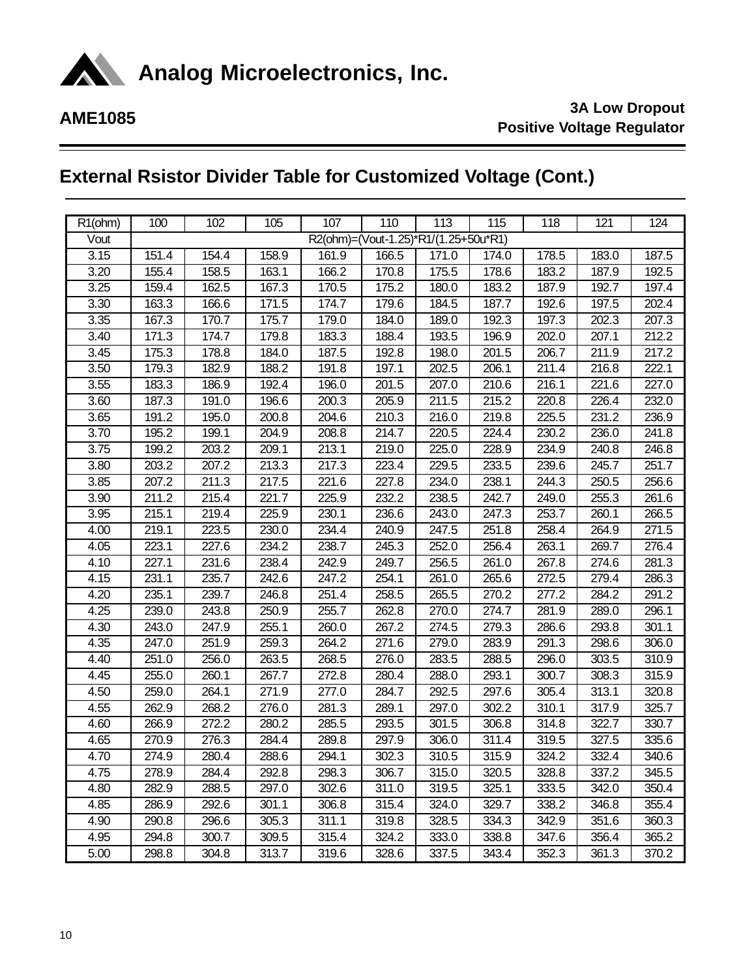

# **External Rsistor Divider Table for Customized Voltage (Cont.)**

| R <sub>1</sub> (ohm) | 100                                  | 102   | 105                 | 107   | 110   | 113   | 115   | 118   | 121   | 124   |
|----------------------|--------------------------------------|-------|---------------------|-------|-------|-------|-------|-------|-------|-------|
| Vout                 | R2(ohm)=(Vout-1.25)*R1/(1.25+50u*R1) |       |                     |       |       |       |       |       |       |       |
| $\overline{3}$ .15   | 151.4                                | 154.4 | 158.9               | 161.9 | 166.5 | 171.0 | 174.0 | 178.5 | 183.0 | 187.5 |
| 3.20                 | 155.4                                | 158.5 | 163.1               | 166.2 | 170.8 | 175.5 | 178.6 | 183.2 | 187.9 | 192.5 |
| 3.25                 | 159.4                                | 162.5 | 167.3               | 170.5 | 175.2 | 180.0 | 183.2 | 187.9 | 192.7 | 197.4 |
| 3.30                 | 163.3                                | 166.6 | 171.5               | 174.7 | 179.6 | 184.5 | 187.7 | 192.6 | 197.5 | 202.4 |
| 3.35                 | 167.3                                | 170.7 | 175.7               | 179.0 | 184.0 | 189.0 | 192.3 | 197.3 | 202.3 | 207.3 |
| 3.40                 | 171.3                                | 174.7 | 179.8               | 183.3 | 188.4 | 193.5 | 196.9 | 202.0 | 207.1 | 212.2 |
| 3.45                 | 175.3                                | 178.8 | 184.0               | 187.5 | 192.8 | 198.0 | 201.5 | 206.7 | 211.9 | 217.2 |
| 3.50                 | 179.3                                | 182.9 | 188.2               | 191.8 | 197.1 | 202.5 | 206.1 | 211.4 | 216.8 | 222.1 |
| 3.55                 | 183.3                                | 186.9 | 192.4               | 196.0 | 201.5 | 207.0 | 210.6 | 216.1 | 221.6 | 227.0 |
| 3.60                 | 187.3                                | 191.0 | 196.6               | 200.3 | 205.9 | 211.5 | 215.2 | 220.8 | 226.4 | 232.0 |
| 3.65                 | 191.2                                | 195.0 | 200.8               | 204.6 | 210.3 | 216.0 | 219.8 | 225.5 | 231.2 | 236.9 |
| 3.70                 | 195.2                                | 199.1 | 204.9               | 208.8 | 214.7 | 220.5 | 224.4 | 230.2 | 236.0 | 241.8 |
| 3.75                 | 199.2                                | 203.2 | 209.1               | 213.1 | 219.0 | 225.0 | 228.9 | 234.9 | 240.8 | 246.8 |
| 3.80                 | 203.2                                | 207.2 | 213.3               | 217.3 | 223.4 | 229.5 | 233.5 | 239.6 | 245.7 | 251.7 |
| 3.85                 | 207.2                                | 211.3 | 217.5               | 221.6 | 227.8 | 234.0 | 238.1 | 244.3 | 250.5 | 256.6 |
| 3.90                 | 211.2                                | 215.4 | 221.7               | 225.9 | 232.2 | 238.5 | 242.7 | 249.0 | 255.3 | 261.6 |
| 3.95                 | 215.1                                | 219.4 | 225.9               | 230.1 | 236.6 | 243.0 | 247.3 | 253.7 | 260.1 | 266.5 |
| 4.00                 | 219.1                                | 223.5 | 230.0               | 234.4 | 240.9 | 247.5 | 251.8 | 258.4 | 264.9 | 271.5 |
| 4.05                 | $\overline{2}23.1$                   | 227.6 | 234.2               | 238.7 | 245.3 | 252.0 | 256.4 | 263.1 | 269.7 | 276.4 |
| 4.10                 | 227.1                                | 231.6 | 238.4               | 242.9 | 249.7 | 256.5 | 261.0 | 267.8 | 274.6 | 281.3 |
| 4.15                 | 231.1                                | 235.7 | $\overline{2}$ 42.6 | 247.2 | 254.1 | 261.0 | 265.6 | 272.5 | 279.4 | 286.3 |
| 4.20                 | 235.1                                | 239.7 | 246.8               | 251.4 | 258.5 | 265.5 | 270.2 | 277.2 | 284.2 | 291.2 |
| 4.25                 | 239.0                                | 243.8 | 250.9               | 255.7 | 262.8 | 270.0 | 274.7 | 281.9 | 289.0 | 296.1 |
| 4.30                 | 243.0                                | 247.9 | 255.1               | 260.0 | 267.2 | 274.5 | 279.3 | 286.6 | 293.8 | 301.1 |
| 4.35                 | 247.0                                | 251.9 | 259.3               | 264.2 | 271.6 | 279.0 | 283.9 | 291.3 | 298.6 | 306.0 |
| 4.40                 | 251.0                                | 256.0 | 263.5               | 268.5 | 276.0 | 283.5 | 288.5 | 296.0 | 303.5 | 310.9 |
| 4.45                 | 255.0                                | 260.1 | 267.7               | 272.8 | 280.4 | 288.0 | 293.1 | 300.7 | 308.3 | 315.9 |
| 4.50                 | 259.0                                | 264.1 | 271.9               | 277.0 | 284.7 | 292.5 | 297.6 | 305.4 | 313.1 | 320.8 |
| 4.55                 | 262.9                                | 268.2 | 276.0               | 281.3 | 289.1 | 297.0 | 302.2 | 310.1 | 317.9 | 325.7 |
| 4.60                 | 266.9                                | 272.2 | 280.2               | 285.5 | 293.5 | 301.5 | 306.8 | 314.8 | 322.7 | 330.7 |
| 4.65                 | 270.9                                | 276.3 | 284.4               | 289.8 | 297.9 | 306.0 | 311.4 | 319.5 | 327.5 | 335.6 |
| 4.70                 | 274.9                                | 280.4 | 288.6               | 294.1 | 302.3 | 310.5 | 315.9 | 324.2 | 332.4 | 340.6 |
| 4.75                 | 278.9                                | 284.4 | 292.8               | 298.3 | 306.7 | 315.0 | 320.5 | 328.8 | 337.2 | 345.5 |
| 4.80                 | 282.9                                | 288.5 | 297.0               | 302.6 | 311.0 | 319.5 | 325.1 | 333.5 | 342.0 | 350.4 |
| 4.85                 | 286.9                                | 292.6 | 301.1               | 306.8 | 315.4 | 324.0 | 329.7 | 338.2 | 346.8 | 355.4 |
| 4.90                 | 290.8                                | 296.6 | 305.3               | 311.1 | 319.8 | 328.5 | 334.3 | 342.9 | 351.6 | 360.3 |
| 4.95                 | 294.8                                | 300.7 | 309.5               | 315.4 | 324.2 | 333.0 | 338.8 | 347.6 | 356.4 | 365.2 |
| 5.00                 | 298.8                                | 304.8 | 313.7               | 319.6 | 328.6 | 337.5 | 343.4 | 352.3 | 361.3 | 370.2 |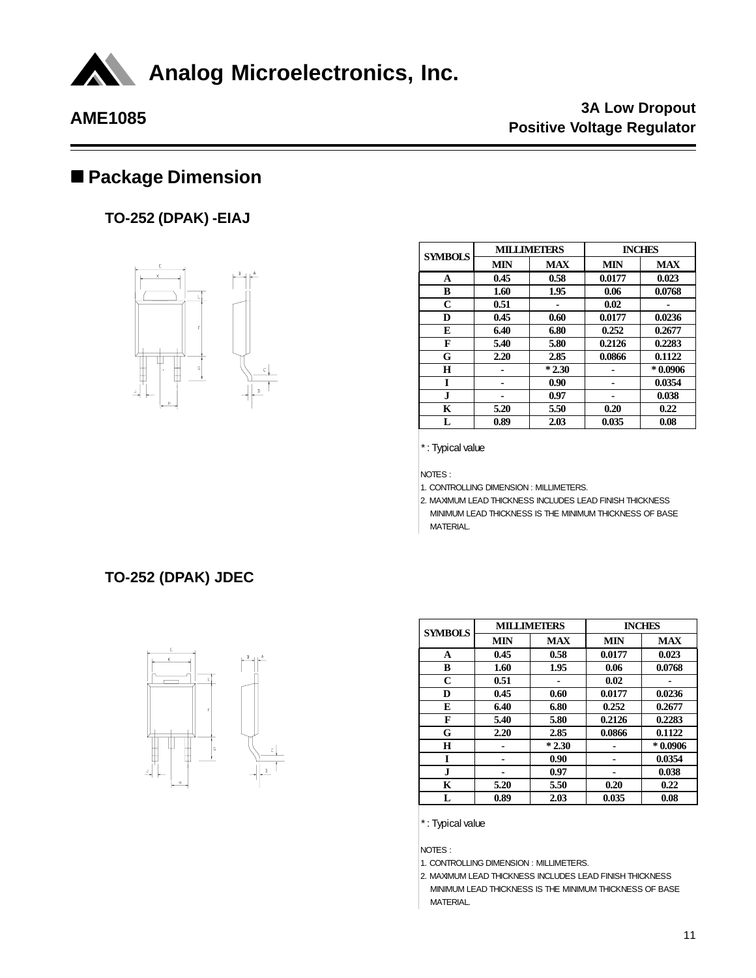

## n **Package Dimension**

**TO-252 (DPAK) -EIAJ**



| <b>SYMBOLS</b> |            | <b>MILLIMETERS</b> | <b>INCHES</b> |            |  |
|----------------|------------|--------------------|---------------|------------|--|
|                | <b>MIN</b> | <b>MAX</b>         | <b>MIN</b>    | <b>MAX</b> |  |
| A              | 0.45       | 0.58               | 0.0177        | 0.023      |  |
| в              | 1.60       | 1.95               | 0.06          | 0.0768     |  |
| C              | 0.51       |                    | 0.02          |            |  |
| D              | 0.45       | 0.60               | 0.0177        | 0.0236     |  |
| E              | 6.40       | 6.80               | 0.252         | 0.2677     |  |
| F              | 5.40       | 5.80               | 0.2126        | 0.2283     |  |
| G              | 2.20       | 2.85               | 0.0866        | 0.1122     |  |
| H              |            | $*2.30$            |               | $*0.0906$  |  |
| T              |            | 0.90               |               | 0.0354     |  |
| J              |            | 0.97               |               | 0.038      |  |
| K              | 5.20       | 5.50               | 0.20          | 0.22       |  |
| L              | 0.89       | 2.03               | 0.035         | 0.08       |  |

\* : Typical value

NOTES :

1. CONTROLLING DIMENSION : MILLIMETERS.

2. MAXIMUM LEAD THICKNESS INCLUDES LEAD FINISH THICKNESS MINIMUM LEAD THICKNESS IS THE MINIMUM THICKNESS OF BASE MATERIAL.

### **TO-252 (DPAK) JDEC**



| <b>SYMBOLS</b> |            | <b>MILLIMETERS</b> | <b>INCHES</b> |            |  |
|----------------|------------|--------------------|---------------|------------|--|
|                | <b>MIN</b> | <b>MAX</b>         | <b>MIN</b>    | <b>MAX</b> |  |
| A              | 0.45       | 0.58               | 0.0177        | 0.023      |  |
| В              | 1.60       | 1.95               | 0.06          | 0.0768     |  |
| C              | 0.51       |                    | 0.02          |            |  |
| D              | 0.45       | 0.60               | 0.0177        | 0.0236     |  |
| E              | 6.40       | 6.80               | 0.252         | 0.2677     |  |
| F              | 5.40       | 5.80               | 0.2126        | 0.2283     |  |
| G              | 2.20       | 2.85               | 0.0866        | 0.1122     |  |
| Н              |            | $*2.30$            |               | $*0.0906$  |  |
| I              |            | 0.90               |               | 0.0354     |  |
| J              |            | 0.97               |               | 0.038      |  |
| K              | 5.20       | 5.50               | 0.20          | 0.22       |  |
| L              | 0.89       | 2.03               | 0.035         | 0.08       |  |

\* : Typical value

NOTES :

1. CONTROLLING DIMENSION : MILLIMETERS.

2. MAXIMUM LEAD THICKNESS INCLUDES LEAD FINISH THICKNESS MINIMUM LEAD THICKNESS IS THE MINIMUM THICKNESS OF BASE MATERIAL.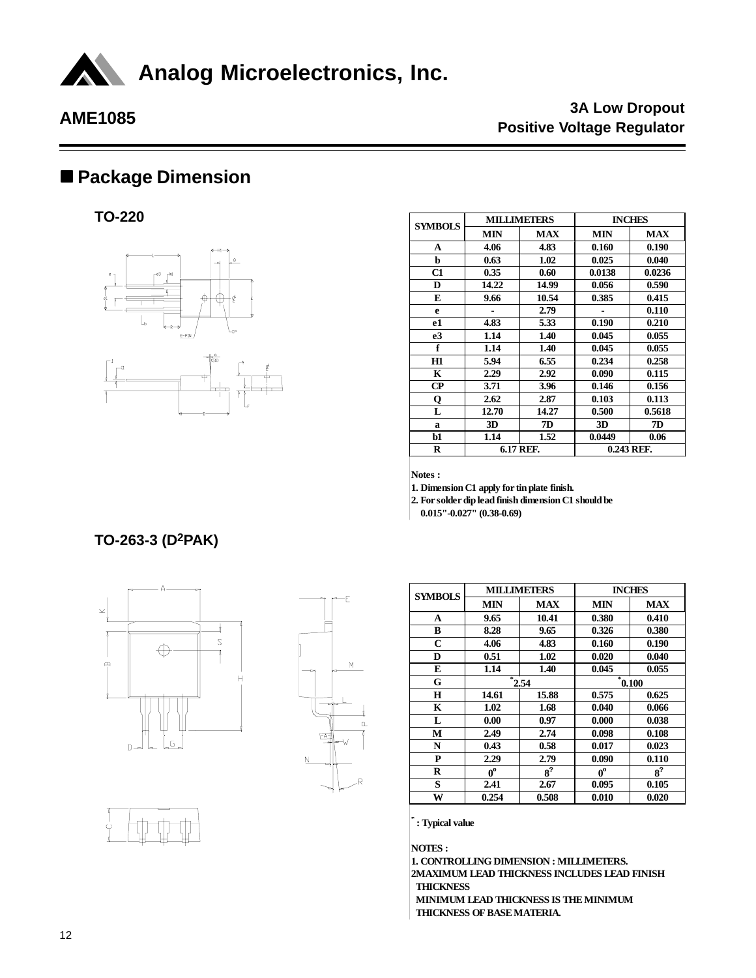

# **Analog Microelectronics, Inc.**

# **AME1085 3A Low Dropout Positive Voltage Regulator**

## n **Package Dimension**

**TO-220**



| <b>SYMBOLS</b> |            | <b>MILLIMETERS</b> | <b>INCHES</b> |            |  |
|----------------|------------|--------------------|---------------|------------|--|
|                | <b>MIN</b> | MAX                | <b>MIN</b>    | <b>MAX</b> |  |
| A              | 4.06       | 4.83               | 0.160         | 0.190      |  |
| b              | 0.63       | 1.02               | 0.025         | 0.040      |  |
| C1             | 0.35       | 0.60               | 0.0138        | 0.0236     |  |
| D              | 14.22      | 14.99              | 0.056         | 0.590      |  |
| E              | 9.66       | 10.54              | 0.385         | 0.415      |  |
| e              |            | 2.79               |               | 0.110      |  |
| e1             | 4.83       | 5.33               | 0.190         | 0.210      |  |
| e3             | 1.14       | 1.40               | 0.045         | 0.055      |  |
| f              | 1.14       | 1.40               | 0.045         | 0.055      |  |
| <b>H1</b>      | 5.94       | 6.55               | 0.234         | 0.258      |  |
| K              | 2.29       | 2.92               | 0.090         | 0.115      |  |
| $\bf CP$       | 3.71       | 3.96               | 0.146         | 0.156      |  |
| Q              | 2.62       | 2.87               | 0.103         | 0.113      |  |
| L              | 12.70      | 14.27              | 0.500         | 0.5618     |  |
| a              | 3D         | 7D                 | 3D            | 7D         |  |
| $b1$           | 1.14       | 1.52               | 0.0449        | 0.06       |  |
| R              |            | 6.17 REF.          | 0.243 REF.    |            |  |

**Notes :**

**1. Dimension C1 apply for tin plate finish.**

**2. For solder dip lead finish dimension C1 should be**

**SYMBOLS MILLIMETERS INCHES**

 **0.015"-0.027" (0.38-0.69)**

### **TO-263-3 (D2PAK)**







**\* : Typical value**

**NOTES :**

**1. CONTROLLING DIMENSION : MILLIMETERS.**

**2MAXIMUM LEAD THICKNESS INCLUDES LEAD FINISH THICKNESS**

 **MINIMUM LEAD THICKNESS IS THE MINIMUM THICKNESS OF BASE MATERIA.**

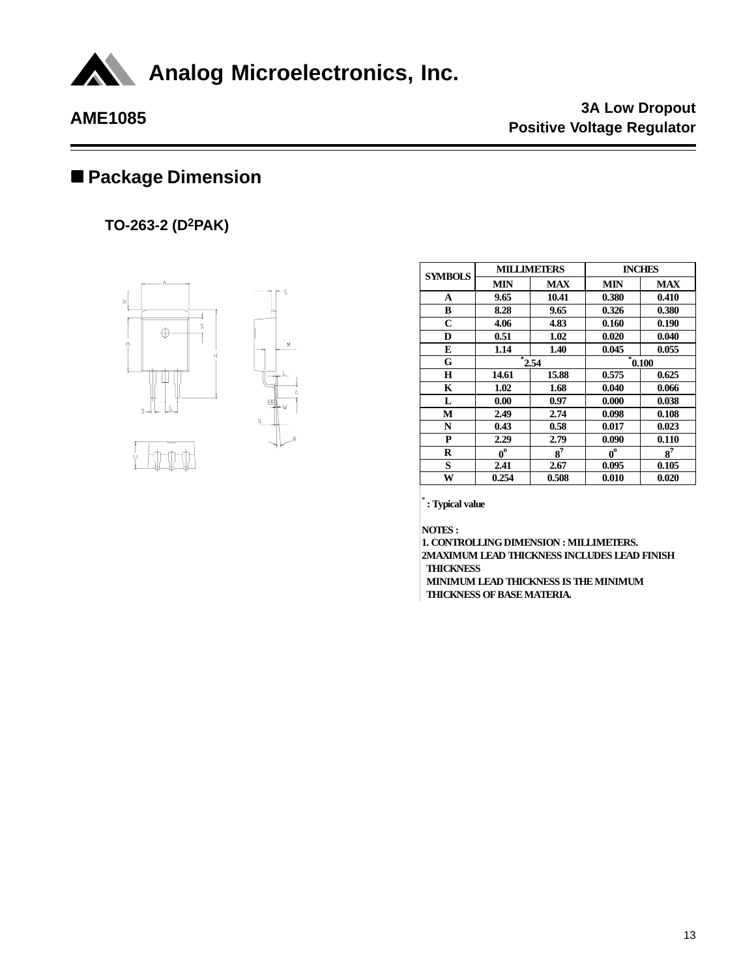

# n **Package Dimension**

**TO-263-2 (D2PAK)**



| <b>SYMBOLS</b> |             | <b>MILLIMETERS</b> |             | <b>INCHES</b> |  |
|----------------|-------------|--------------------|-------------|---------------|--|
|                | MIN         | <b>MAX</b>         | MIN         | <b>MAX</b>    |  |
| A              | 9.65        | 10.41              | 0.380       | 0.410         |  |
| В              | 8.28        | 9.65               | 0.326       | 0.380         |  |
| $\mathbf C$    | 4.06        | 4.83               | 0.160       | 0.190         |  |
| D              | 0.51        | 1.02               | 0.020       | 0.040         |  |
| E              | 1.14        | 1.40               | 0.045       | 0.055         |  |
| G              | 2.54        |                    | 0.100       |               |  |
| н              | 14.61       | 15.88              | 0.575       | 0.625         |  |
| K              | 1.02        | 1.68               | 0.040       | 0.066         |  |
| L              | 0.00        | 0.97               | 0.000       | 0.038         |  |
| М              | 2.49        | 2.74               | 0.098       | 0.108         |  |
| N              | 0.43        | 0.58               | 0.017       | 0.023         |  |
| P              | 2.29        | 2.79               | 0.090       | 0.110         |  |
| R              | $0^{\rm o}$ | $8^2$              | $0^{\rm o}$ | $8^2$         |  |
| S              | 2.41        | 2.67               | 0.095       | 0.105         |  |
| W              | 0.254       | 0.508              | 0.010       | 0.020         |  |

**\* : Typical value**

**NOTES :**

**1. CONTROLLING DIMENSION : MILLIMETERS. 2MAXIMUM LEAD THICKNESS INCLUDES LEAD FINISH THICKNESS MINIMUM LEAD THICKNESS IS THE MINIMUM** 

 **THICKNESS OF BASE MATERIA.**